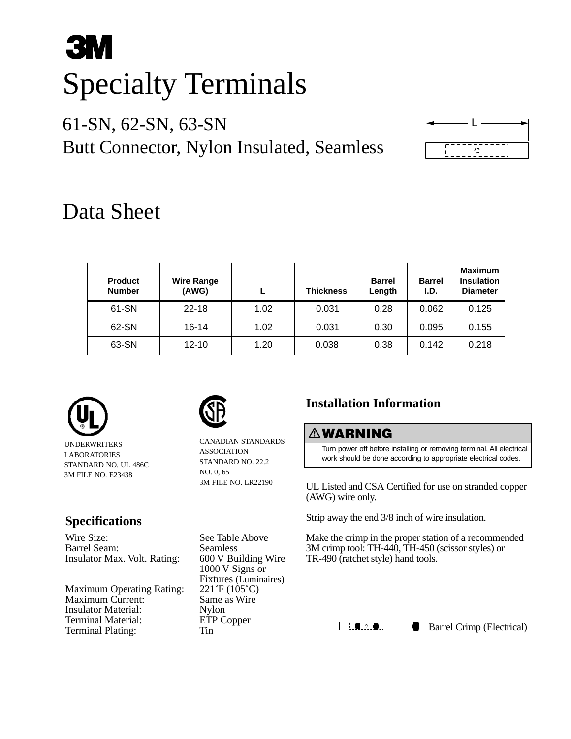# **3M** Specialty Terminals

## 61-SN, 62-SN, 63-SN Butt Connector, Nylon Insulated, Seamless



# Data Sheet

| <b>Product</b><br><b>Number</b> | <b>Wire Range</b><br>(AWG) |      | <b>Thickness</b> | <b>Barrel</b><br>Length | <b>Barrel</b><br>I.D. | <b>Maximum</b><br><b>Insulation</b><br><b>Diameter</b> |
|---------------------------------|----------------------------|------|------------------|-------------------------|-----------------------|--------------------------------------------------------|
| 61-SN                           | $22 - 18$                  | 1.02 | 0.031            | 0.28                    | 0.062                 | 0.125                                                  |
| 62-SN                           | 16-14                      | 1.02 | 0.031            | 0.30                    | 0.095                 | 0.155                                                  |
| 63-SN                           | $12 - 10$                  | 1.20 | 0.038            | 0.38                    | 0.142                 | 0.218                                                  |



UNDERWRITERS LABORATORIES STANDARD NO. UL 486C 3M FILE NO. E23438

### **Specifications**

Wire Size: See Table Above Barrel Seam: Seamless<br>Insulator Max. Volt. Rating: 600 V Building Wire Insulator Max. Volt. Rating:

Maximum Operating Rating: 221°F (105°C)<br>Maximum Current: Same as Wire Maximum Current: Insulator Material: Nylon<br>Terminal Material: ETP Copper Terminal Material: ETI<br>Terminal Plating: Tin Terminal Plating:



CANADIAN STANDARDS ASSOCIATION STANDARD NO. 22.2 NO. 0, 65 3M FILE NO. LR22190

1000 V Signs or Fixtures (Luminaires)<br>221°F (105°C)

## **Installation Information**

#### -**WARNING**

Turn power off before installing or removing terminal. All electrical work should be done according to appropriate electrical codes.

UL Listed and CSA Certified for use on stranded copper (AWG) wire only.

Strip away the end 3/8 inch of wire insulation.

Make the crimp in the proper station of a recommended 3M crimp tool: TH-440, TH-450 (scissor styles) or TR-490 (ratchet style) hand tools.



Barrel Crimp (Electrical)